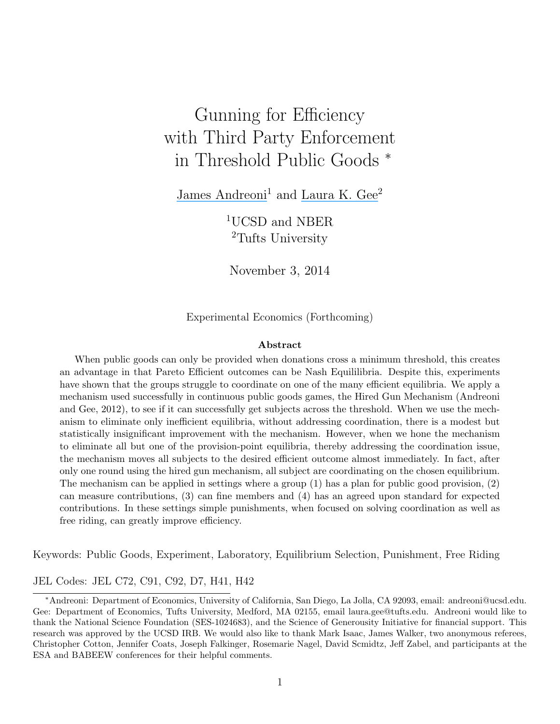# Gunning for Efficiency with Third Party Enforcement in Threshold Public Goods <sup>∗</sup>

[James Andreoni](https://www.researchgate.net/profile/James_Andreoni?el=1_x_100&enrichId=rgreq-93de67dfbdaa64611c56b50ab76f2a44-XXX&enrichSource=Y292ZXJQYWdlOzI3MjAxODc1MTtBUzoxOTg2MTYwMTE1NDY2MjRAMTQyNDM2NTE1NTYyOA==)<sup>1</sup> and [Laura K. Gee](https://www.researchgate.net/profile/Laura_Gee?el=1_x_100&enrichId=rgreq-93de67dfbdaa64611c56b50ab76f2a44-XXX&enrichSource=Y292ZXJQYWdlOzI3MjAxODc1MTtBUzoxOTg2MTYwMTE1NDY2MjRAMTQyNDM2NTE1NTYyOA==)<sup>2</sup>

<sup>1</sup>UCSD and NBER <sup>2</sup>Tufts University

November 3, 2014

Experimental Economics (Forthcoming)

#### Abstract

When public goods can only be provided when donations cross a minimum threshold, this creates an advantage in that Pareto Efficient outcomes can be Nash Equililibria. Despite this, experiments have shown that the groups struggle to coordinate on one of the many efficient equilibria. We apply a mechanism used successfully in continuous public goods games, the Hired Gun Mechanism (Andreoni and Gee, 2012), to see if it can successfully get subjects across the threshold. When we use the mechanism to eliminate only inefficient equilibria, without addressing coordination, there is a modest but statistically insignificant improvement with the mechanism. However, when we hone the mechanism to eliminate all but one of the provision-point equilibria, thereby addressing the coordination issue, the mechanism moves all subjects to the desired efficient outcome almost immediately. In fact, after only one round using the hired gun mechanism, all subject are coordinating on the chosen equilibrium. The mechanism can be applied in settings where a group (1) has a plan for public good provision, (2) can measure contributions, (3) can fine members and (4) has an agreed upon standard for expected contributions. In these settings simple punishments, when focused on solving coordination as well as free riding, can greatly improve efficiency.

Keywords: Public Goods, Experiment, Laboratory, Equilibrium Selection, Punishment, Free Riding

#### JEL Codes: JEL C72, C91, C92, D7, H41, H42

<sup>∗</sup>Andreoni: Department of Economics, University of California, San Diego, La Jolla, CA 92093, email: andreoni@ucsd.edu. Gee: Department of Economics, Tufts University, Medford, MA 02155, email laura.gee@tufts.edu. Andreoni would like to thank the National Science Foundation (SES-1024683), and the Science of Generousity Initiative for financial support. This research was approved by the UCSD IRB. We would also like to thank Mark Isaac, James Walker, two anonymous referees, Christopher Cotton, Jennifer Coats, Joseph Falkinger, Rosemarie Nagel, David Scmidtz, Jeff Zabel, and participants at the ESA and BABEEW conferences for their helpful comments.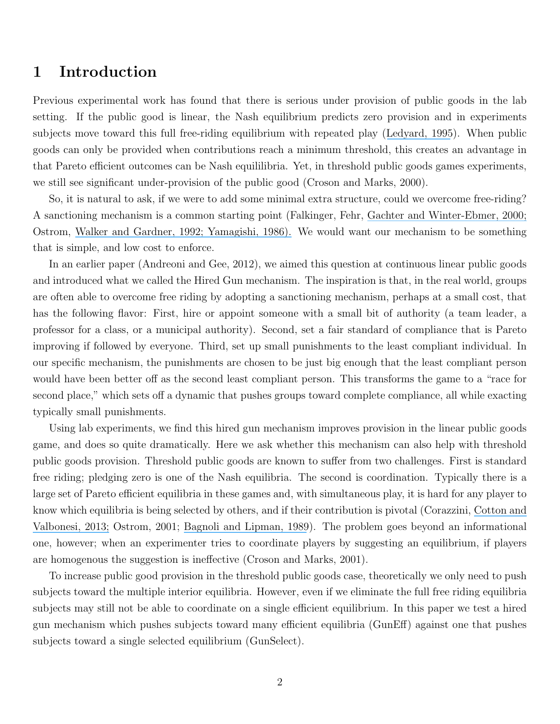## 1 Introduction

Previous experimental work has found that there is serious under provision of public goods in the lab setting. If the public good is linear, the Nash equilibrium predicts zero provision and in experiments subjects move toward this full free-riding equilibrium with repeated play ([Ledyard, 1995](https://www.researchgate.net/publication/23749410_Public_Goods_A_Survey_of_Experimental_Research?el=1_x_8&enrichId=rgreq-93de67dfbdaa64611c56b50ab76f2a44-XXX&enrichSource=Y292ZXJQYWdlOzI3MjAxODc1MTtBUzoxOTg2MTYwMTE1NDY2MjRAMTQyNDM2NTE1NTYyOA==)). When public goods can only be provided when contributions reach a minimum threshold, this creates an advantage in that Pareto efficient outcomes can be Nash equililibria. Yet, in threshold public goods games experiments, we still see significant under-provision of the public good (Croson and Marks, 2000).

So, it is natural to ask, if we were to add some minimal extra structure, could we overcome free-riding? A sanctioning mechanism is a common starting point (Falkinger, Fehr, [Gachter and Winter-Ebmer, 2000;](https://www.researchgate.net/publication/51993129_A_Simple_Mechanism_for_the_Efficient_Provision_of_Public_Goods_Experimental_Evidence?el=1_x_8&enrichId=rgreq-93de67dfbdaa64611c56b50ab76f2a44-XXX&enrichSource=Y292ZXJQYWdlOzI3MjAxODc1MTtBUzoxOTg2MTYwMTE1NDY2MjRAMTQyNDM2NTE1NTYyOA==) Ostrom, [Walker and Gardner, 1992; Y](https://www.researchgate.net/publication/51993090_Covenants_With_and_Without_a_Sword_Self-Governance_Is_Possible?el=1_x_8&enrichId=rgreq-93de67dfbdaa64611c56b50ab76f2a44-XXX&enrichSource=Y292ZXJQYWdlOzI3MjAxODc1MTtBUzoxOTg2MTYwMTE1NDY2MjRAMTQyNDM2NTE1NTYyOA==)[amagishi, 198](https://www.researchgate.net/publication/232591957_The_Provision_of_a_Sanctioning_System_as_a_Public_Good?el=1_x_8&enrichId=rgreq-93de67dfbdaa64611c56b50ab76f2a44-XXX&enrichSource=Y292ZXJQYWdlOzI3MjAxODc1MTtBUzoxOTg2MTYwMTE1NDY2MjRAMTQyNDM2NTE1NTYyOA==)[6\).](https://www.researchgate.net/publication/51993090_Covenants_With_and_Without_a_Sword_Self-Governance_Is_Possible?el=1_x_8&enrichId=rgreq-93de67dfbdaa64611c56b50ab76f2a44-XXX&enrichSource=Y292ZXJQYWdlOzI3MjAxODc1MTtBUzoxOTg2MTYwMTE1NDY2MjRAMTQyNDM2NTE1NTYyOA==) We would want our mechanism to be something that is simple, and low cost to enforce.

In an earlier paper (Andreoni and Gee, 2012), we aimed this question at continuous linear public goods and introduced what we called the Hired Gun mechanism. The inspiration is that, in the real world, groups are often able to overcome free riding by adopting a sanctioning mechanism, perhaps at a small cost, that has the following flavor: First, hire or appoint someone with a small bit of authority (a team leader, a professor for a class, or a municipal authority). Second, set a fair standard of compliance that is Pareto improving if followed by everyone. Third, set up small punishments to the least compliant individual. In our specific mechanism, the punishments are chosen to be just big enough that the least compliant person would have been better off as the second least compliant person. This transforms the game to a "race for second place," which sets off a dynamic that pushes groups toward complete compliance, all while exacting typically small punishments.

Using lab experiments, we find this hired gun mechanism improves provision in the linear public goods game, and does so quite dramatically. Here we ask whether this mechanism can also help with threshold public goods provision. Threshold public goods are known to suffer from two challenges. First is standard free riding; pledging zero is one of the Nash equilibria. The second is coordination. Typically there is a large set of Pareto efficient equilibria in these games and, with simultaneous play, it is hard for any player to know which equilibria is being selected by others, and if their contribution is pivotal (Corazzini, [Cotton and](https://www.researchgate.net/publication/274183735_Too_Many_Charities_Insight_from_an_Experiment_with_Multiple_Public_Goods_and_Contribution_Thresholds?el=1_x_8&enrichId=rgreq-93de67dfbdaa64611c56b50ab76f2a44-XXX&enrichSource=Y292ZXJQYWdlOzI3MjAxODc1MTtBUzoxOTg2MTYwMTE1NDY2MjRAMTQyNDM2NTE1NTYyOA==) [Valbonesi, 2013;](https://www.researchgate.net/publication/274183735_Too_Many_Charities_Insight_from_an_Experiment_with_Multiple_Public_Goods_and_Contribution_Thresholds?el=1_x_8&enrichId=rgreq-93de67dfbdaa64611c56b50ab76f2a44-XXX&enrichSource=Y292ZXJQYWdlOzI3MjAxODc1MTtBUzoxOTg2MTYwMTE1NDY2MjRAMTQyNDM2NTE1NTYyOA==) Ostrom, 2001; [Bagnoli and Lipman, 1989](https://www.researchgate.net/publication/4782903_Provision_of_Public_Goods_Fully_Implementing_the_Core_Through_Private_Contributions?el=1_x_8&enrichId=rgreq-93de67dfbdaa64611c56b50ab76f2a44-XXX&enrichSource=Y292ZXJQYWdlOzI3MjAxODc1MTtBUzoxOTg2MTYwMTE1NDY2MjRAMTQyNDM2NTE1NTYyOA==)). The problem goes beyond an informational one, however; when an experimenter tries to coordinate players by suggesting an equilibrium, if players are homogenous the suggestion is ineffective (Croson and Marks, 2001).

To increase public good provision in the threshold public goods case, theoretically we only need to push subjects toward the multiple interior equilibria. However, even if we eliminate the full free riding equilibria subjects may still not be able to coordinate on a single efficient equilibrium. In this paper we test a hired gun mechanism which pushes subjects toward many efficient equilibria (GunEff) against one that pushes subjects toward a single selected equilibrium (GunSelect).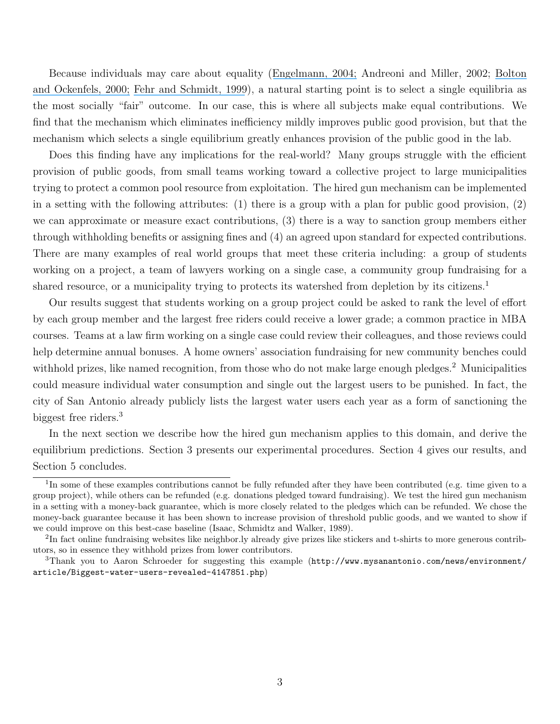Because individuals may care about equality ([Engelmann, 2004;](https://www.researchgate.net/publication/4901666_Inequality_Aversion_Efficiency_and_Maximin_Preferences_in_Simple_Distribution_Experiments?el=1_x_8&enrichId=rgreq-93de67dfbdaa64611c56b50ab76f2a44-XXX&enrichSource=Y292ZXJQYWdlOzI3MjAxODc1MTtBUzoxOTg2MTYwMTE1NDY2MjRAMTQyNDM2NTE1NTYyOA==) Andreoni and Miller, 2002; [Bolton](https://www.researchgate.net/publication/4820234_ERC_--_A_Theory_of_Equity_Reciprocity_and_Competition?el=1_x_8&enrichId=rgreq-93de67dfbdaa64611c56b50ab76f2a44-XXX&enrichSource=Y292ZXJQYWdlOzI3MjAxODc1MTtBUzoxOTg2MTYwMTE1NDY2MjRAMTQyNDM2NTE1NTYyOA==) [and Ockenfels, 2000;](https://www.researchgate.net/publication/4820234_ERC_--_A_Theory_of_Equity_Reciprocity_and_Competition?el=1_x_8&enrichId=rgreq-93de67dfbdaa64611c56b50ab76f2a44-XXX&enrichSource=Y292ZXJQYWdlOzI3MjAxODc1MTtBUzoxOTg2MTYwMTE1NDY2MjRAMTQyNDM2NTE1NTYyOA==) [Fehr and Schmidt, 1999](https://www.researchgate.net/publication/24091667_A_Theory_Of_Fairness_Competition_And_Cooperation?el=1_x_8&enrichId=rgreq-93de67dfbdaa64611c56b50ab76f2a44-XXX&enrichSource=Y292ZXJQYWdlOzI3MjAxODc1MTtBUzoxOTg2MTYwMTE1NDY2MjRAMTQyNDM2NTE1NTYyOA==)), a natural starting point is to select a single equilibria as the most socially "fair" outcome. In our case, this is where all subjects make equal contributions. We find that the mechanism which eliminates inefficiency mildly improves public good provision, but that the mechanism which selects a single equilibrium greatly enhances provision of the public good in the lab.

Does this finding have any implications for the real-world? Many groups struggle with the efficient provision of public goods, from small teams working toward a collective project to large municipalities trying to protect a common pool resource from exploitation. The hired gun mechanism can be implemented in a setting with the following attributes: (1) there is a group with a plan for public good provision, (2) we can approximate or measure exact contributions, (3) there is a way to sanction group members either through withholding benefits or assigning fines and (4) an agreed upon standard for expected contributions. There are many examples of real world groups that meet these criteria including: a group of students working on a project, a team of lawyers working on a single case, a community group fundraising for a shared resource, or a municipality trying to protects its watershed from depletion by its citizens.<sup>1</sup>

Our results suggest that students working on a group project could be asked to rank the level of effort by each group member and the largest free riders could receive a lower grade; a common practice in MBA courses. Teams at a law firm working on a single case could review their colleagues, and those reviews could help determine annual bonuses. A home owners' association fundraising for new community benches could withhold prizes, like named recognition, from those who do not make large enough pledges.<sup>2</sup> Municipalities could measure individual water consumption and single out the largest users to be punished. In fact, the city of San Antonio already publicly lists the largest water users each year as a form of sanctioning the biggest free riders.<sup>3</sup>

In the next section we describe how the hired gun mechanism applies to this domain, and derive the equilibrium predictions. Section 3 presents our experimental procedures. Section 4 gives our results, and Section 5 concludes.

<sup>&</sup>lt;sup>1</sup>In some of these examples contributions cannot be fully refunded after they have been contributed (e.g. time given to a group project), while others can be refunded (e.g. donations pledged toward fundraising). We test the hired gun mechanism in a setting with a money-back guarantee, which is more closely related to the pledges which can be refunded. We chose the money-back guarantee because it has been shown to increase provision of threshold public goods, and we wanted to show if we could improve on this best-case baseline (Isaac, Schmidtz and Walker, 1989).

<sup>&</sup>lt;sup>2</sup>In fact online fundraising websites like neighbor.ly already give prizes like stickers and t-shirts to more generous contributors, so in essence they withhold prizes from lower contributors.

<sup>3</sup>Thank you to Aaron Schroeder for suggesting this example (http://www.mysanantonio.com/news/environment/ article/Biggest-water-users-revealed-4147851.php)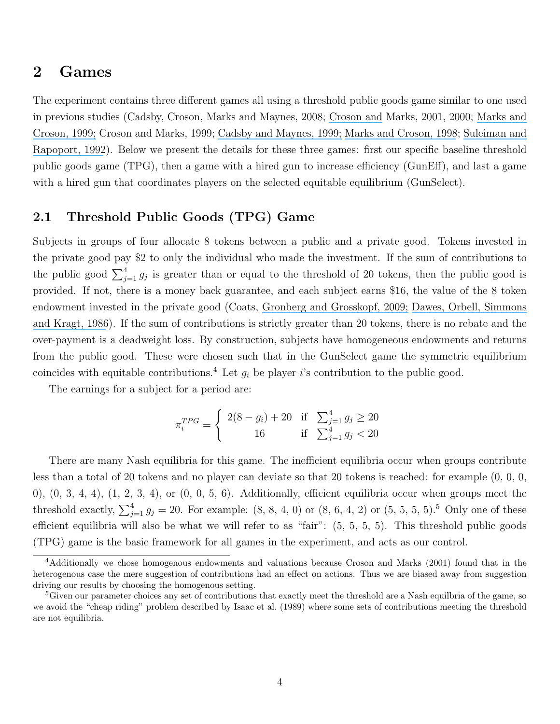### 2 Games

The experiment contains three different games all using a threshold public goods game similar to one used in previous studies (Cadsby, Croson, Marks and Maynes, 2008; [Croson and](https://www.researchgate.net/publication/238501916_Chapter_82_Partners_versus_Strangers_Random_Rematching_in_Public_Goods_Experiments?el=1_x_8&enrichId=rgreq-93de67dfbdaa64611c56b50ab76f2a44-XXX&enrichSource=Y292ZXJQYWdlOzI3MjAxODc1MTtBUzoxOTg2MTYwMTE1NDY2MjRAMTQyNDM2NTE1NTYyOA==) Marks, 2001, 2000; [Marks and](https://www.researchgate.net/publication/222501631_Alternative_Rebate_Rules_in_the_Provision_of_a_Threshold_Public_Good_An_Experimental_Investigation?el=1_x_8&enrichId=rgreq-93de67dfbdaa64611c56b50ab76f2a44-XXX&enrichSource=Y292ZXJQYWdlOzI3MjAxODc1MTtBUzoxOTg2MTYwMTE1NDY2MjRAMTQyNDM2NTE1NTYyOA==) [Croson, 1999;](https://www.researchgate.net/publication/222501631_Alternative_Rebate_Rules_in_the_Provision_of_a_Threshold_Public_Good_An_Experimental_Investigation?el=1_x_8&enrichId=rgreq-93de67dfbdaa64611c56b50ab76f2a44-XXX&enrichSource=Y292ZXJQYWdlOzI3MjAxODc1MTtBUzoxOTg2MTYwMTE1NDY2MjRAMTQyNDM2NTE1NTYyOA==) Croson and Marks, 1999; [Cadsby and Maynes, 1999;](https://www.researchgate.net/publication/222471056_Voluntary_provision_of_threshold_public_goods_with_continuous_contributions_Experimental_evidence?el=1_x_8&enrichId=rgreq-93de67dfbdaa64611c56b50ab76f2a44-XXX&enrichSource=Y292ZXJQYWdlOzI3MjAxODc1MTtBUzoxOTg2MTYwMTE1NDY2MjRAMTQyNDM2NTE1NTYyOA==) [Marks and Croson, 1998](https://www.researchgate.net/publication/222501631_Alternative_Rebate_Rules_in_the_Provision_of_a_Threshold_Public_Good_An_Experimental_Investigation?el=1_x_8&enrichId=rgreq-93de67dfbdaa64611c56b50ab76f2a44-XXX&enrichSource=Y292ZXJQYWdlOzI3MjAxODc1MTtBUzoxOTg2MTYwMTE1NDY2MjRAMTQyNDM2NTE1NTYyOA==); [Suleiman and](https://www.researchgate.net/publication/246880133_Provision_of_Step-Level_Public_Goods_with_Continuous_Contribution?el=1_x_8&enrichId=rgreq-93de67dfbdaa64611c56b50ab76f2a44-XXX&enrichSource=Y292ZXJQYWdlOzI3MjAxODc1MTtBUzoxOTg2MTYwMTE1NDY2MjRAMTQyNDM2NTE1NTYyOA==) [Rapoport, 1992](https://www.researchgate.net/publication/246880133_Provision_of_Step-Level_Public_Goods_with_Continuous_Contribution?el=1_x_8&enrichId=rgreq-93de67dfbdaa64611c56b50ab76f2a44-XXX&enrichSource=Y292ZXJQYWdlOzI3MjAxODc1MTtBUzoxOTg2MTYwMTE1NDY2MjRAMTQyNDM2NTE1NTYyOA==)). Below we present the details for these three games: first our specific baseline threshold public goods game (TPG), then a game with a hired gun to increase efficiency (GunEff), and last a game with a hired gun that coordinates players on the selected equitable equilibrium (GunSelect).

### 2.1 Threshold Public Goods (TPG) Game

Subjects in groups of four allocate 8 tokens between a public and a private good. Tokens invested in the private good pay \$2 to only the individual who made the investment. If the sum of contributions to the public good  $\sum_{j=1}^4 g_j$  is greater than or equal to the threshold of 20 tokens, then the public good is provided. If not, there is a money back guarantee, and each subject earns \$16, the value of the 8 token endowment invested in the private good (Coats, [Gronberg and Grosskopf, 2009;](https://www.researchgate.net/publication/222299969_Simultaneous_versus_sequential_public_good_provision_and_the_role_of_refunds_-_An_experimental_study?el=1_x_8&enrichId=rgreq-93de67dfbdaa64611c56b50ab76f2a44-XXX&enrichSource=Y292ZXJQYWdlOzI3MjAxODc1MTtBUzoxOTg2MTYwMTE1NDY2MjRAMTQyNDM2NTE1NTYyOA==) [Dawes, Orbell, Simmons](https://www.researchgate.net/publication/243767732_Organizing_Groups_for_Collective_Action?el=1_x_8&enrichId=rgreq-93de67dfbdaa64611c56b50ab76f2a44-XXX&enrichSource=Y292ZXJQYWdlOzI3MjAxODc1MTtBUzoxOTg2MTYwMTE1NDY2MjRAMTQyNDM2NTE1NTYyOA==) [and Kragt, 1986](https://www.researchgate.net/publication/243767732_Organizing_Groups_for_Collective_Action?el=1_x_8&enrichId=rgreq-93de67dfbdaa64611c56b50ab76f2a44-XXX&enrichSource=Y292ZXJQYWdlOzI3MjAxODc1MTtBUzoxOTg2MTYwMTE1NDY2MjRAMTQyNDM2NTE1NTYyOA==)). If the sum of contributions is strictly greater than 20 tokens, there is no rebate and the over-payment is a deadweight loss. By construction, subjects have homogeneous endowments and returns from the public good. These were chosen such that in the GunSelect game the symmetric equilibrium coincides with equitable contributions.<sup>4</sup> Let  $g_i$  be player i's contribution to the public good.

The earnings for a subject for a period are:

$$
\pi_i^{TPG} = \begin{cases} 2(8 - g_i) + 20 & \text{if } \sum_{j=1}^4 g_j \ge 20 \\ 16 & \text{if } \sum_{j=1}^4 g_j < 20 \end{cases}
$$

There are many Nash equilibria for this game. The inefficient equilibria occur when groups contribute less than a total of 20 tokens and no player can deviate so that 20 tokens is reached: for example (0, 0, 0, 0),  $(0, 3, 4, 4)$ ,  $(1, 2, 3, 4)$ , or  $(0, 0, 5, 6)$ . Additionally, efficient equilibria occur when groups meet the threshold exactly,  $\sum_{j=1}^{4} g_j = 20$ . For example:  $(8, 8, 4, 0)$  or  $(8, 6, 4, 2)$  or  $(5, 5, 5, 5)$ .<sup>5</sup> Only one of these efficient equilibria will also be what we will refer to as "fair": (5, 5, 5, 5). This threshold public goods (TPG) game is the basic framework for all games in the experiment, and acts as our control.

<sup>4</sup>Additionally we chose homogenous endowments and valuations because Croson and Marks (2001) found that in the heterogenous case the mere suggestion of contributions had an effect on actions. Thus we are biased away from suggestion driving our results by choosing the homogenous setting.

<sup>&</sup>lt;sup>5</sup>Given our parameter choices any set of contributions that exactly meet the threshold are a Nash equilbria of the game, so we avoid the "cheap riding" problem described by Isaac et al. (1989) where some sets of contributions meeting the threshold are not equilibria.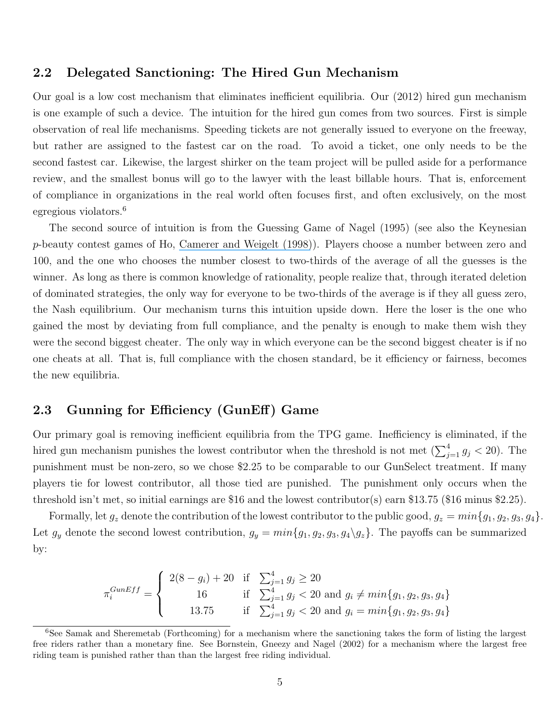#### 2.2 Delegated Sanctioning: The Hired Gun Mechanism

Our goal is a low cost mechanism that eliminates inefficient equilibria. Our (2012) hired gun mechanism is one example of such a device. The intuition for the hired gun comes from two sources. First is simple observation of real life mechanisms. Speeding tickets are not generally issued to everyone on the freeway, but rather are assigned to the fastest car on the road. To avoid a ticket, one only needs to be the second fastest car. Likewise, the largest shirker on the team project will be pulled aside for a performance review, and the smallest bonus will go to the lawyer with the least billable hours. That is, enforcement of compliance in organizations in the real world often focuses first, and often exclusively, on the most egregious violators.<sup>6</sup>

The second source of intuition is from the Guessing Game of Nagel (1995) (see also the Keynesian p-beauty contest games of Ho, [Camerer and Weigelt \(1998\)](https://www.researchgate.net/publication/246565134_Iterated_Dominance_and_Iter-ated_Best-response_in_p-Beauty_Contests?el=1_x_8&enrichId=rgreq-93de67dfbdaa64611c56b50ab76f2a44-XXX&enrichSource=Y292ZXJQYWdlOzI3MjAxODc1MTtBUzoxOTg2MTYwMTE1NDY2MjRAMTQyNDM2NTE1NTYyOA==)). Players choose a number between zero and 100, and the one who chooses the number closest to two-thirds of the average of all the guesses is the winner. As long as there is common knowledge of rationality, people realize that, through iterated deletion of dominated strategies, the only way for everyone to be two-thirds of the average is if they all guess zero, the Nash equilibrium. Our mechanism turns this intuition upside down. Here the loser is the one who gained the most by deviating from full compliance, and the penalty is enough to make them wish they were the second biggest cheater. The only way in which everyone can be the second biggest cheater is if no one cheats at all. That is, full compliance with the chosen standard, be it efficiency or fairness, becomes the new equilibria.

#### 2.3 Gunning for Efficiency (GunEff) Game

Our primary goal is removing inefficient equilibria from the TPG game. Inefficiency is eliminated, if the hired gun mechanism punishes the lowest contributor when the threshold is not met  $(\sum_{j=1}^{4} g_j < 20)$ . The punishment must be non-zero, so we chose \$2.25 to be comparable to our GunSelect treatment. If many players tie for lowest contributor, all those tied are punished. The punishment only occurs when the threshold isn't met, so initial earnings are \$16 and the lowest contributor(s) earn \$13.75 (\$16 minus \$2.25).

Formally, let  $g_z$  denote the contribution of the lowest contributor to the public good,  $g_z = min\{g_1, g_2, g_3, g_4\}.$ Let  $g_y$  denote the second lowest contribution,  $g_y = min{g_1, g_2, g_3, g_4 \setminus g_z}$ . The payoffs can be summarized by:

$$
\pi_i^{GunEff} = \begin{cases}\n2(8 - g_i) + 20 & \text{if } \sum_{j=1}^4 g_j \ge 20 \\
16 & \text{if } \sum_{j=1}^4 g_j < 20 \text{ and } g_i \ne min\{g_1, g_2, g_3, g_4\} \\
13.75 & \text{if } \sum_{j=1}^4 g_j < 20 \text{ and } g_i = min\{g_1, g_2, g_3, g_4\}\n\end{cases}
$$

<sup>6</sup>See Samak and Sheremetab (Forthcoming) for a mechanism where the sanctioning takes the form of listing the largest free riders rather than a monetary fine. See Bornstein, Gneezy and Nagel (2002) for a mechanism where the largest free riding team is punished rather than than the largest free riding individual.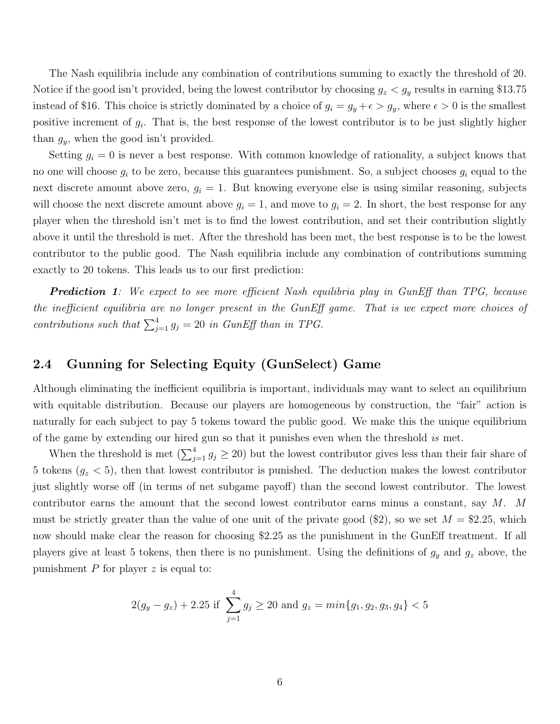The Nash equilibria include any combination of contributions summing to exactly the threshold of 20. Notice if the good isn't provided, being the lowest contributor by choosing  $g_z < g_y$  results in earning \$13.75 instead of \$16. This choice is strictly dominated by a choice of  $g_i = g_y + \epsilon > g_y$ , where  $\epsilon > 0$  is the smallest positive increment of  $g_i$ . That is, the best response of the lowest contributor is to be just slightly higher than  $g_y$ , when the good isn't provided.

Setting  $g_i = 0$  is never a best response. With common knowledge of rationality, a subject knows that no one will choose  $g_i$  to be zero, because this guarantees punishment. So, a subject chooses  $g_i$  equal to the next discrete amount above zero,  $g_i = 1$ . But knowing everyone else is using similar reasoning, subjects will choose the next discrete amount above  $g_i = 1$ , and move to  $g_i = 2$ . In short, the best response for any player when the threshold isn't met is to find the lowest contribution, and set their contribution slightly above it until the threshold is met. After the threshold has been met, the best response is to be the lowest contributor to the public good. The Nash equilibria include any combination of contributions summing exactly to 20 tokens. This leads us to our first prediction:

**Prediction 1**: We expect to see more efficient Nash equilibria play in GunEff than TPG, because the inefficient equilibria are no longer present in the GunEff game. That is we expect more choices of contributions such that  $\sum_{j=1}^{4} g_j = 20$  in GunEff than in TPG.

### 2.4 Gunning for Selecting Equity (GunSelect) Game

Although eliminating the inefficient equilibria is important, individuals may want to select an equilibrium with equitable distribution. Because our players are homogeneous by construction, the "fair" action is naturally for each subject to pay 5 tokens toward the public good. We make this the unique equilibrium of the game by extending our hired gun so that it punishes even when the threshold is met.

When the threshold is met  $(\sum_{j=1}^4 g_j \geq 20)$  but the lowest contributor gives less than their fair share of 5 tokens  $(g_z < 5)$ , then that lowest contributor is punished. The deduction makes the lowest contributor just slightly worse off (in terms of net subgame payoff) than the second lowest contributor. The lowest contributor earns the amount that the second lowest contributor earns minus a constant, say M. M must be strictly greater than the value of one unit of the private good  $(\text{$}2)$ , so we set  $M = \$2.25$ , which now should make clear the reason for choosing \$2.25 as the punishment in the GunEff treatment. If all players give at least 5 tokens, then there is no punishment. Using the definitions of  $g_y$  and  $g_z$  above, the punishment  $P$  for player  $z$  is equal to:

$$
2(g_y - g_z) + 2.25
$$
 if  $\sum_{j=1}^{4} g_j \ge 20$  and  $g_z = min\{g_1, g_2, g_3, g_4\} < 5$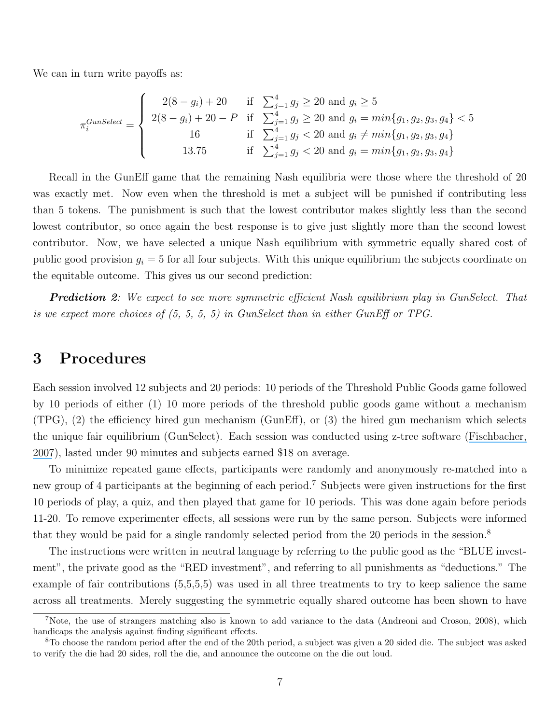We can in turn write payoffs as:

$$
\pi_i^{Gunselect} = \begin{cases}\n2(8 - g_i) + 20 & \text{if } \sum_{j=1}^4 g_j \ge 20 \text{ and } g_i \ge 5 \\
2(8 - g_i) + 20 - P & \text{if } \sum_{j=1}^4 g_j \ge 20 \text{ and } g_i = min\{g_1, g_2, g_3, g_4\} < 5 \\
16 & \text{if } \sum_{j=1}^4 g_j < 20 \text{ and } g_i \ne min\{g_1, g_2, g_3, g_4\} \\
13.75 & \text{if } \sum_{j=1}^4 g_j < 20 \text{ and } g_i = min\{g_1, g_2, g_3, g_4\}\n\end{cases}
$$

Recall in the GunEff game that the remaining Nash equilibria were those where the threshold of 20 was exactly met. Now even when the threshold is met a subject will be punished if contributing less than 5 tokens. The punishment is such that the lowest contributor makes slightly less than the second lowest contributor, so once again the best response is to give just slightly more than the second lowest contributor. Now, we have selected a unique Nash equilibrium with symmetric equally shared cost of public good provision  $g_i = 5$  for all four subjects. With this unique equilibrium the subjects coordinate on the equitable outcome. This gives us our second prediction:

**Prediction 2:** We expect to see more symmetric efficient Nash equilibrium play in GunSelect. That is we expect more choices of (5, 5, 5, 5) in GunSelect than in either GunEff or TPG.

### 3 Procedures

Each session involved 12 subjects and 20 periods: 10 periods of the Threshold Public Goods game followed by 10 periods of either (1) 10 more periods of the threshold public goods game without a mechanism (TPG), (2) the efficiency hired gun mechanism (GunEff), or (3) the hired gun mechanism which selects the unique fair equilibrium (GunSelect). Each session was conducted using z-tree software ([Fischbacher,](https://www.researchgate.net/publication/243776530_Z-Tree_Zurich_Tool_Box_for_Ready-Made_Economic_Experiments?el=1_x_8&enrichId=rgreq-93de67dfbdaa64611c56b50ab76f2a44-XXX&enrichSource=Y292ZXJQYWdlOzI3MjAxODc1MTtBUzoxOTg2MTYwMTE1NDY2MjRAMTQyNDM2NTE1NTYyOA==) [2007](https://www.researchgate.net/publication/243776530_Z-Tree_Zurich_Tool_Box_for_Ready-Made_Economic_Experiments?el=1_x_8&enrichId=rgreq-93de67dfbdaa64611c56b50ab76f2a44-XXX&enrichSource=Y292ZXJQYWdlOzI3MjAxODc1MTtBUzoxOTg2MTYwMTE1NDY2MjRAMTQyNDM2NTE1NTYyOA==)), lasted under 90 minutes and subjects earned \$18 on average.

To minimize repeated game effects, participants were randomly and anonymously re-matched into a new group of 4 participants at the beginning of each period.<sup>7</sup> Subjects were given instructions for the first 10 periods of play, a quiz, and then played that game for 10 periods. This was done again before periods 11-20. To remove experimenter effects, all sessions were run by the same person. Subjects were informed that they would be paid for a single randomly selected period from the 20 periods in the session.<sup>8</sup>

The instructions were written in neutral language by referring to the public good as the "BLUE investment", the private good as the "RED investment", and referring to all punishments as "deductions." The example of fair contributions  $(5,5,5,5)$  was used in all three treatments to try to keep salience the same across all treatments. Merely suggesting the symmetric equally shared outcome has been shown to have

<sup>7</sup>Note, the use of strangers matching also is known to add variance to the data (Andreoni and Croson, 2008), which handicaps the analysis against finding significant effects.

<sup>8</sup>To choose the random period after the end of the 20th period, a subject was given a 20 sided die. The subject was asked to verify the die had 20 sides, roll the die, and announce the outcome on the die out loud.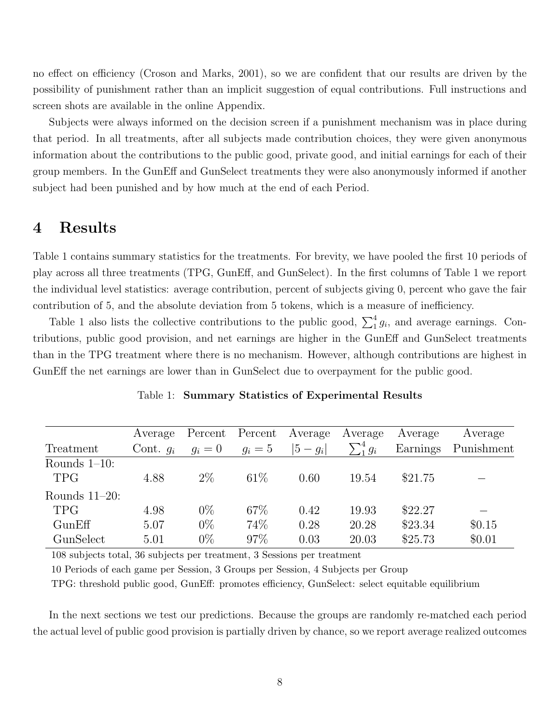no effect on efficiency (Croson and Marks, 2001), so we are confident that our results are driven by the possibility of punishment rather than an implicit suggestion of equal contributions. Full instructions and screen shots are available in the online Appendix.

Subjects were always informed on the decision screen if a punishment mechanism was in place during that period. In all treatments, after all subjects made contribution choices, they were given anonymous information about the contributions to the public good, private good, and initial earnings for each of their group members. In the GunEff and GunSelect treatments they were also anonymously informed if another subject had been punished and by how much at the end of each Period.

# 4 Results

Table 1 contains summary statistics for the treatments. For brevity, we have pooled the first 10 periods of play across all three treatments (TPG, GunEff, and GunSelect). In the first columns of Table 1 we report the individual level statistics: average contribution, percent of subjects giving 0, percent who gave the fair contribution of 5, and the absolute deviation from 5 tokens, which is a measure of inefficiency.

Table 1 also lists the collective contributions to the public good,  $\sum_1^4 g_i$ , and average earnings. Contributions, public good provision, and net earnings are higher in the GunEff and GunSelect treatments than in the TPG treatment where there is no mechanism. However, although contributions are highest in GunEff the net earnings are lower than in GunSelect due to overpayment for the public good.

| Treatment                      | Average     | Percent | Percent | Average   | Average        | Average  | Average    |
|--------------------------------|-------------|---------|---------|-----------|----------------|----------|------------|
|                                | Cont. $q_i$ | $g_i=0$ | $g_i=5$ | $ 5-g_i $ | $\sum_1^4 g_i$ | Earnings | Punishment |
| Rounds $1-10$ :<br><b>TPG</b>  | 4.88        | $2\%$   | $61\%$  | 0.60      | 19.54          | \$21.75  |            |
| Rounds $11-20$ :<br><b>TPG</b> | 4.98        | $0\%$   | 67\%    | 0.42      | 19.93          | \$22.27  |            |
| GunEff                         | 5.07        | $0\%$   | 74%     | 0.28      | 20.28          | \$23.34  | \$0.15     |
| GunSelect                      | 5.01        | $0\%$   | 97\%    | 0.03      | 20.03          | \$25.73  | \$0.01     |

#### Table 1: Summary Statistics of Experimental Results

108 subjects total, 36 subjects per treatment, 3 Sessions per treatment

10 Periods of each game per Session, 3 Groups per Session, 4 Subjects per Group

TPG: threshold public good, GunEff: promotes efficiency, GunSelect: select equitable equilibrium

In the next sections we test our predictions. Because the groups are randomly re-matched each period the actual level of public good provision is partially driven by chance, so we report average realized outcomes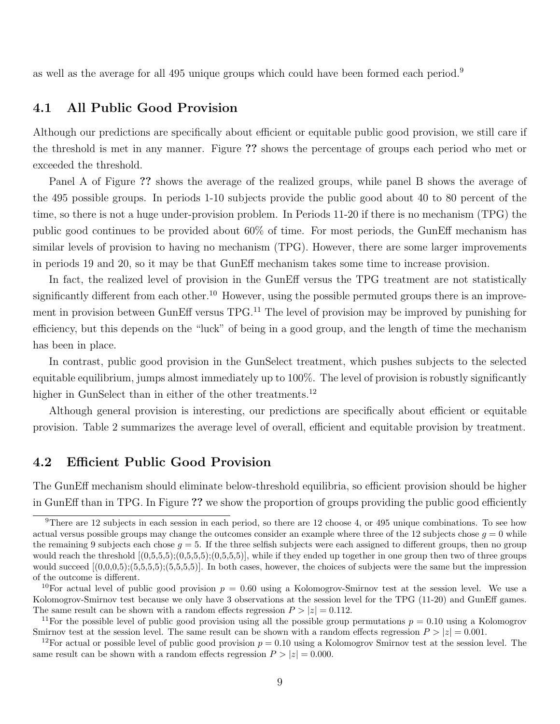as well as the average for all 495 unique groups which could have been formed each period.<sup>9</sup>

### 4.1 All Public Good Provision

Although our predictions are specifically about efficient or equitable public good provision, we still care if the threshold is met in any manner. Figure ?? shows the percentage of groups each period who met or exceeded the threshold.

Panel A of Figure ?? shows the average of the realized groups, while panel B shows the average of the 495 possible groups. In periods 1-10 subjects provide the public good about 40 to 80 percent of the time, so there is not a huge under-provision problem. In Periods 11-20 if there is no mechanism (TPG) the public good continues to be provided about 60% of time. For most periods, the GunEff mechanism has similar levels of provision to having no mechanism (TPG). However, there are some larger improvements in periods 19 and 20, so it may be that GunEff mechanism takes some time to increase provision.

In fact, the realized level of provision in the GunEff versus the TPG treatment are not statistically significantly different from each other.<sup>10</sup> However, using the possible permuted groups there is an improvement in provision between GunEff versus TPG.<sup>11</sup> The level of provision may be improved by punishing for efficiency, but this depends on the "luck" of being in a good group, and the length of time the mechanism has been in place.

In contrast, public good provision in the GunSelect treatment, which pushes subjects to the selected equitable equilibrium, jumps almost immediately up to 100%. The level of provision is robustly significantly higher in GunSelect than in either of the other treatments.<sup>12</sup>

Although general provision is interesting, our predictions are specifically about efficient or equitable provision. Table 2 summarizes the average level of overall, efficient and equitable provision by treatment.

### 4.2 Efficient Public Good Provision

The GunEff mechanism should eliminate below-threshold equilibria, so efficient provision should be higher in GunEff than in TPG. In Figure ?? we show the proportion of groups providing the public good efficiently

<sup>&</sup>lt;sup>9</sup>There are 12 subjects in each session in each period, so there are 12 choose 4, or 495 unique combinations. To see how actual versus possible groups may change the outcomes consider an example where three of the 12 subjects chose  $q = 0$  while the remaining 9 subjects each chose  $q = 5$ . If the three selfish subjects were each assigned to different groups, then no group would reach the threshold  $[(0,5,5,5);(0,5,5,5);(0,5,5,5)]$ , while if they ended up together in one group then two of three groups would succeed  $[(0,0,0,5);(5,5,5,5);(5,5,5,5)]$ . In both cases, however, the choices of subjects were the same but the impression of the outcome is different.

<sup>&</sup>lt;sup>10</sup>For actual level of public good provision  $p = 0.60$  using a Kolomogrov-Smirnov test at the session level. We use a Kolomogrov-Smirnov test because we only have 3 observations at the session level for the TPG (11-20) and GunEff games. The same result can be shown with a random effects regression  $P > |z| = 0.112$ .

<sup>&</sup>lt;sup>11</sup>For the possible level of public good provision using all the possible group permutations  $p = 0.10$  using a Kolomogrov Smirnov test at the session level. The same result can be shown with a random effects regression  $P > |z| = 0.001$ .

<sup>&</sup>lt;sup>12</sup>For actual or possible level of public good provision  $p = 0.10$  using a Kolomogrov Smirnov test at the session level. The same result can be shown with a random effects regression  $P > |z| = 0.000$ .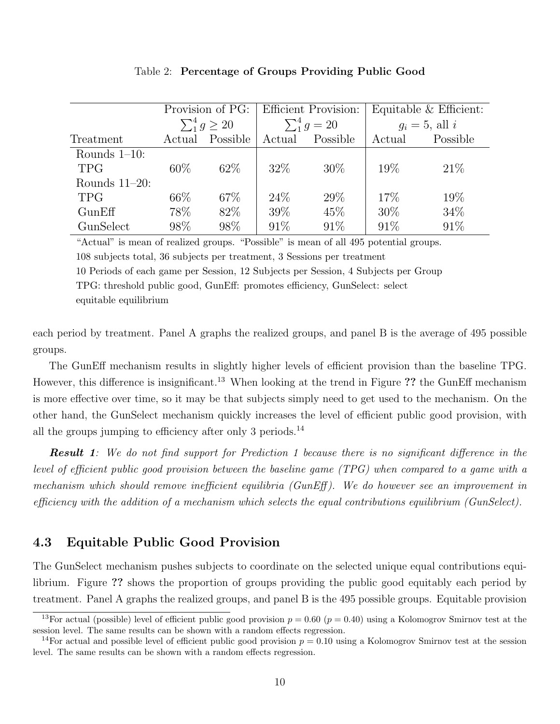| Provision of PG: |                          |          |        | <b>Efficient Provision:</b> | Equitable $&$ Efficient: |          |
|------------------|--------------------------|----------|--------|-----------------------------|--------------------------|----------|
|                  | $\sum_{1}^{4} g \geq 20$ |          |        | $\sum_{1}^{4} g = 20$       | $g_i = 5$ , all i        |          |
| Treatment        | Actual                   | Possible | Actual | Possible                    | Actual                   | Possible |
| Rounds $1-10$ :  |                          |          |        |                             |                          |          |
| <b>TPG</b>       | $60\%$                   | 62\%     | 32\%   | $30\%$                      | $19\%$                   | 21%      |
| Rounds $11-20$ : |                          |          |        |                             |                          |          |
| <b>TPG</b>       | 66\%                     | 67\%     | 24%    | 29\%                        | 17\%                     | 19%      |
| GunEff           | 78%                      | 82\%     | 39%    | 45\%                        | $30\%$                   | 34\%     |
| GunSelect        | 98%                      | 98%      | 91\%   | 91\%                        | 91\%                     | 91\%     |

Table 2: Percentage of Groups Providing Public Good

"Actual" is mean of realized groups. "Possible" is mean of all 495 potential groups. 108 subjects total, 36 subjects per treatment, 3 Sessions per treatment 10 Periods of each game per Session, 12 Subjects per Session, 4 Subjects per Group TPG: threshold public good, GunEff: promotes efficiency, GunSelect: select equitable equilibrium

each period by treatment. Panel A graphs the realized groups, and panel B is the average of 495 possible groups.

The GunEff mechanism results in slightly higher levels of efficient provision than the baseline TPG. However, this difference is insignificant.<sup>13</sup> When looking at the trend in Figure ?? the GunEff mechanism is more effective over time, so it may be that subjects simply need to get used to the mechanism. On the other hand, the GunSelect mechanism quickly increases the level of efficient public good provision, with all the groups jumping to efficiency after only 3 periods.<sup>14</sup>

**Result 1**: We do not find support for Prediction 1 because there is no significant difference in the level of efficient public good provision between the baseline game (TPG) when compared to a game with a mechanism which should remove inefficient equilibria (GunEff ). We do however see an improvement in efficiency with the addition of a mechanism which selects the equal contributions equilibrium (GunSelect).

### 4.3 Equitable Public Good Provision

The GunSelect mechanism pushes subjects to coordinate on the selected unique equal contributions equilibrium. Figure ?? shows the proportion of groups providing the public good equitably each period by treatment. Panel A graphs the realized groups, and panel B is the 495 possible groups. Equitable provision

<sup>&</sup>lt;sup>13</sup>For actual (possible) level of efficient public good provision  $p = 0.60$  ( $p = 0.40$ ) using a Kolomogrov Smirnov test at the session level. The same results can be shown with a random effects regression.

<sup>&</sup>lt;sup>14</sup>For actual and possible level of efficient public good provision  $p = 0.10$  using a Kolomogrov Smirnov test at the session level. The same results can be shown with a random effects regression.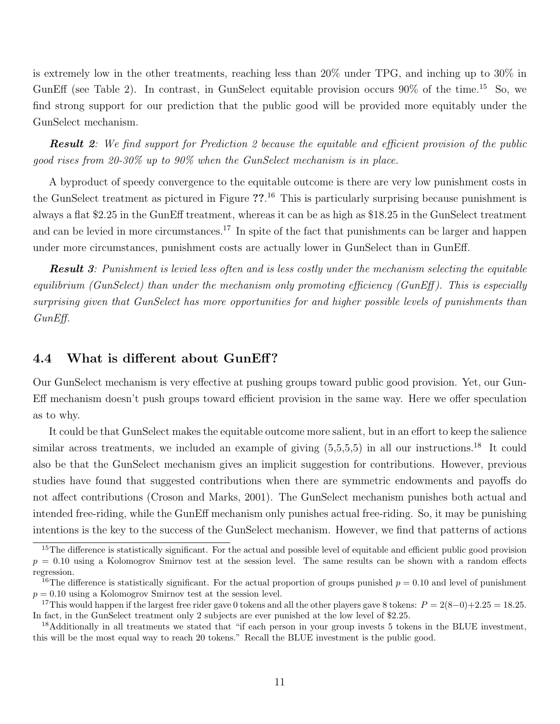is extremely low in the other treatments, reaching less than 20% under TPG, and inching up to 30% in GunEff (see Table 2). In contrast, in GunSelect equitable provision occurs  $90\%$  of the time.<sup>15</sup> So, we find strong support for our prediction that the public good will be provided more equitably under the GunSelect mechanism.

**Result 2:** We find support for Prediction 2 because the equitable and efficient provision of the public good rises from 20-30% up to 90% when the GunSelect mechanism is in place.

A byproduct of speedy convergence to the equitable outcome is there are very low punishment costs in the GunSelect treatment as pictured in Figure ??.<sup>16</sup> This is particularly surprising because punishment is always a flat \$2.25 in the GunEff treatment, whereas it can be as high as \$18.25 in the GunSelect treatment and can be levied in more circumstances.<sup>17</sup> In spite of the fact that punishments can be larger and happen under more circumstances, punishment costs are actually lower in GunSelect than in GunEff.

**Result 3:** Punishment is levied less often and is less costly under the mechanism selecting the equitable equilibrium (GunSelect) than under the mechanism only promoting efficiency (GunEff ). This is especially surprising given that GunSelect has more opportunities for and higher possible levels of punishments than GunEff.

#### 4.4 What is different about GunEff?

Our GunSelect mechanism is very effective at pushing groups toward public good provision. Yet, our Gun-Eff mechanism doesn't push groups toward efficient provision in the same way. Here we offer speculation as to why.

It could be that GunSelect makes the equitable outcome more salient, but in an effort to keep the salience similar across treatments, we included an example of giving  $(5,5,5,5)$  in all our instructions.<sup>18</sup> It could also be that the GunSelect mechanism gives an implicit suggestion for contributions. However, previous studies have found that suggested contributions when there are symmetric endowments and payoffs do not affect contributions (Croson and Marks, 2001). The GunSelect mechanism punishes both actual and intended free-riding, while the GunEff mechanism only punishes actual free-riding. So, it may be punishing intentions is the key to the success of the GunSelect mechanism. However, we find that patterns of actions

<sup>&</sup>lt;sup>15</sup>The difference is statistically significant. For the actual and possible level of equitable and efficient public good provision  $p = 0.10$  using a Kolomogrov Smirnov test at the session level. The same results can be shown with a random effects regression.

<sup>&</sup>lt;sup>16</sup>The difference is statistically significant. For the actual proportion of groups punished  $p = 0.10$  and level of punishment  $p = 0.10$  using a Kolomogrov Smirnov test at the session level.

<sup>&</sup>lt;sup>17</sup>This would happen if the largest free rider gave 0 tokens and all the other players gave 8 tokens:  $P = 2(8-0)+2.25 = 18.25$ . In fact, in the GunSelect treatment only 2 subjects are ever punished at the low level of \$2.25.

<sup>&</sup>lt;sup>18</sup>Additionally in all treatments we stated that "if each person in your group invests 5 tokens in the BLUE investment, this will be the most equal way to reach 20 tokens." Recall the BLUE investment is the public good.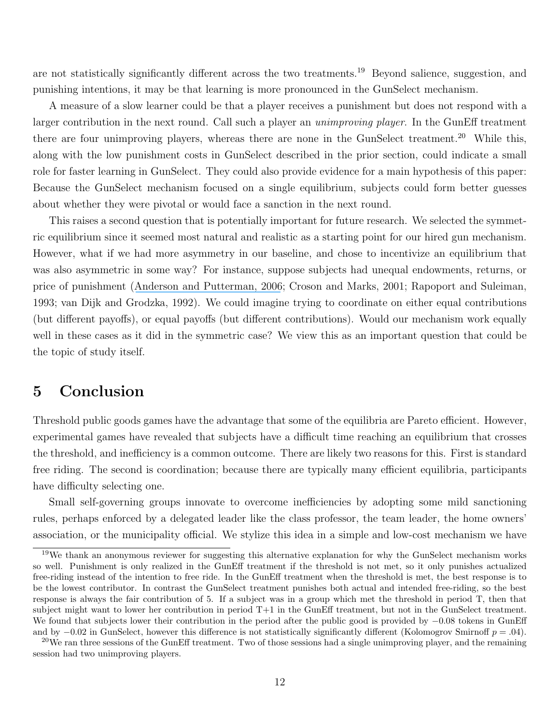are not statistically significantly different across the two treatments.<sup>19</sup> Beyond salience, suggestion, and punishing intentions, it may be that learning is more pronounced in the GunSelect mechanism.

A measure of a slow learner could be that a player receives a punishment but does not respond with a larger contribution in the next round. Call such a player an *unimproving player*. In the GunEff treatment there are four unimproving players, whereas there are none in the GunSelect treatment.<sup>20</sup> While this, along with the low punishment costs in GunSelect described in the prior section, could indicate a small role for faster learning in GunSelect. They could also provide evidence for a main hypothesis of this paper: Because the GunSelect mechanism focused on a single equilibrium, subjects could form better guesses about whether they were pivotal or would face a sanction in the next round.

This raises a second question that is potentially important for future research. We selected the symmetric equilibrium since it seemed most natural and realistic as a starting point for our hired gun mechanism. However, what if we had more asymmetry in our baseline, and chose to incentivize an equilibrium that was also asymmetric in some way? For instance, suppose subjects had unequal endowments, returns, or price of punishment ([Anderson and Putterman, 2006](https://www.researchgate.net/publication/222691001_Do_Non-strategic_Sanctions_Obey_the_Law_of_Demand_The_Demand_for_Punishment_in_the_Voluntary_Contribution_Mechanism?el=1_x_8&enrichId=rgreq-93de67dfbdaa64611c56b50ab76f2a44-XXX&enrichSource=Y292ZXJQYWdlOzI3MjAxODc1MTtBUzoxOTg2MTYwMTE1NDY2MjRAMTQyNDM2NTE1NTYyOA==); Croson and Marks, 2001; Rapoport and Suleiman, 1993; van Dijk and Grodzka, 1992). We could imagine trying to coordinate on either equal contributions (but different payoffs), or equal payoffs (but different contributions). Would our mechanism work equally well in these cases as it did in the symmetric case? We view this as an important question that could be the topic of study itself.

### 5 Conclusion

Threshold public goods games have the advantage that some of the equilibria are Pareto efficient. However, experimental games have revealed that subjects have a difficult time reaching an equilibrium that crosses the threshold, and inefficiency is a common outcome. There are likely two reasons for this. First is standard free riding. The second is coordination; because there are typically many efficient equilibria, participants have difficulty selecting one.

Small self-governing groups innovate to overcome inefficiencies by adopting some mild sanctioning rules, perhaps enforced by a delegated leader like the class professor, the team leader, the home owners' association, or the municipality official. We stylize this idea in a simple and low-cost mechanism we have

<sup>&</sup>lt;sup>19</sup>We thank an anonymous reviewer for suggesting this alternative explanation for why the GunSelect mechanism works so well. Punishment is only realized in the GunEff treatment if the threshold is not met, so it only punishes actualized free-riding instead of the intention to free ride. In the GunEff treatment when the threshold is met, the best response is to be the lowest contributor. In contrast the GunSelect treatment punishes both actual and intended free-riding, so the best response is always the fair contribution of 5. If a subject was in a group which met the threshold in period T, then that subject might want to lower her contribution in period T+1 in the GunEff treatment, but not in the GunSelect treatment. We found that subjects lower their contribution in the period after the public good is provided by −0.08 tokens in GunEff and by  $-0.02$  in GunSelect, however this difference is not statistically significantly different (Kolomogrov Smirnoff  $p = .04$ ).

 $20$ We ran three sessions of the GunEff treatment. Two of those sessions had a single unimproving player, and the remaining session had two unimproving players.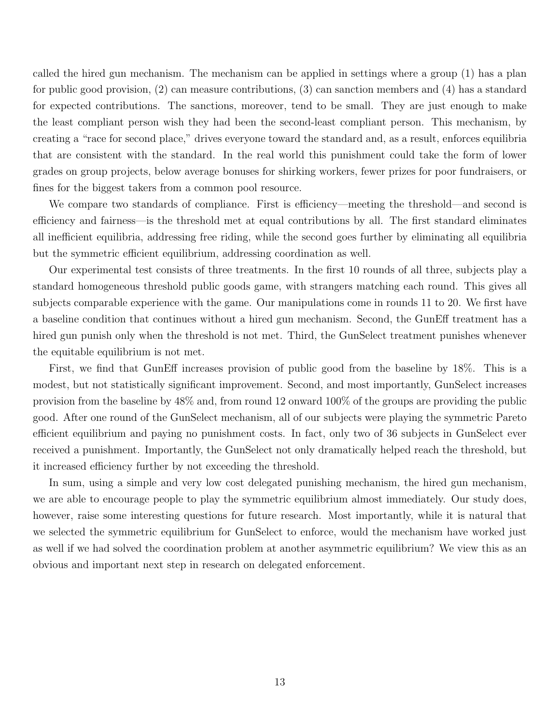called the hired gun mechanism. The mechanism can be applied in settings where a group (1) has a plan for public good provision, (2) can measure contributions, (3) can sanction members and (4) has a standard for expected contributions. The sanctions, moreover, tend to be small. They are just enough to make the least compliant person wish they had been the second-least compliant person. This mechanism, by creating a "race for second place," drives everyone toward the standard and, as a result, enforces equilibria that are consistent with the standard. In the real world this punishment could take the form of lower grades on group projects, below average bonuses for shirking workers, fewer prizes for poor fundraisers, or fines for the biggest takers from a common pool resource.

We compare two standards of compliance. First is efficiency—meeting the threshold—and second is efficiency and fairness—is the threshold met at equal contributions by all. The first standard eliminates all inefficient equilibria, addressing free riding, while the second goes further by eliminating all equilibria but the symmetric efficient equilibrium, addressing coordination as well.

Our experimental test consists of three treatments. In the first 10 rounds of all three, subjects play a standard homogeneous threshold public goods game, with strangers matching each round. This gives all subjects comparable experience with the game. Our manipulations come in rounds 11 to 20. We first have a baseline condition that continues without a hired gun mechanism. Second, the GunEff treatment has a hired gun punish only when the threshold is not met. Third, the GunSelect treatment punishes whenever the equitable equilibrium is not met.

First, we find that GunEff increases provision of public good from the baseline by 18%. This is a modest, but not statistically significant improvement. Second, and most importantly, GunSelect increases provision from the baseline by 48% and, from round 12 onward 100% of the groups are providing the public good. After one round of the GunSelect mechanism, all of our subjects were playing the symmetric Pareto efficient equilibrium and paying no punishment costs. In fact, only two of 36 subjects in GunSelect ever received a punishment. Importantly, the GunSelect not only dramatically helped reach the threshold, but it increased efficiency further by not exceeding the threshold.

In sum, using a simple and very low cost delegated punishing mechanism, the hired gun mechanism, we are able to encourage people to play the symmetric equilibrium almost immediately. Our study does, however, raise some interesting questions for future research. Most importantly, while it is natural that we selected the symmetric equilibrium for GunSelect to enforce, would the mechanism have worked just as well if we had solved the coordination problem at another asymmetric equilibrium? We view this as an obvious and important next step in research on delegated enforcement.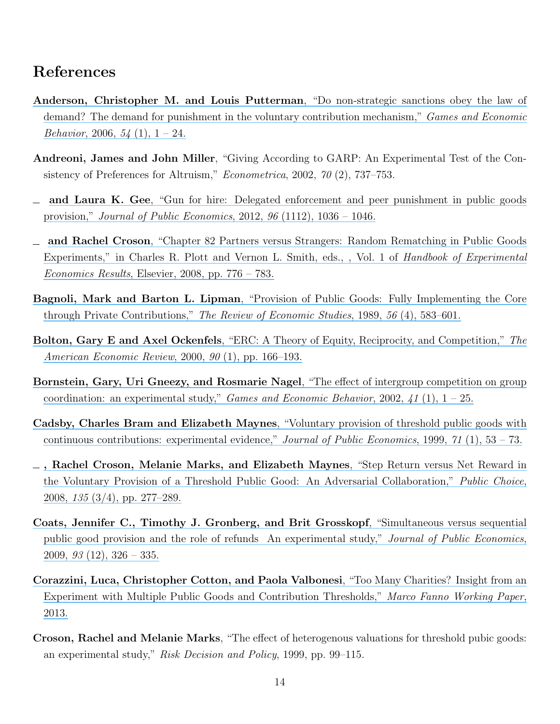# References

- [Anderson, Christopher M. and Louis Putterman](https://www.researchgate.net/publication/222691001_Do_Non-strategic_Sanctions_Obey_the_Law_of_Demand_The_Demand_for_Punishment_in_the_Voluntary_Contribution_Mechanism?el=1_x_8&enrichId=rgreq-93de67dfbdaa64611c56b50ab76f2a44-XXX&enrichSource=Y292ZXJQYWdlOzI3MjAxODc1MTtBUzoxOTg2MTYwMTE1NDY2MjRAMTQyNDM2NTE1NTYyOA==), "Do non-strategic sanctions obey the law of [demand? The demand for punishment in the voluntary contribution mechanism,"](https://www.researchgate.net/publication/222691001_Do_Non-strategic_Sanctions_Obey_the_Law_of_Demand_The_Demand_for_Punishment_in_the_Voluntary_Contribution_Mechanism?el=1_x_8&enrichId=rgreq-93de67dfbdaa64611c56b50ab76f2a44-XXX&enrichSource=Y292ZXJQYWdlOzI3MjAxODc1MTtBUzoxOTg2MTYwMTE1NDY2MjRAMTQyNDM2NTE1NTYyOA==) Games and Economic *Behavior*, 2006,  $54(1)$ ,  $1-24$ .
- Andreoni, James and John Miller, "Giving According to GARP: An Experimental Test of the Consistency of Preferences for Altruism," Econometrica, 2002, 70 (2), 737–753.
- and Laura K. Gee[, "Gun for hire: Delegated enforcement and peer punishment in public goods](https://www.researchgate.net/publication/256920319_Gun_for_hire_Delegated_enforcement_and_peer_punishment_in_public_goods_provision?el=1_x_8&enrichId=rgreq-93de67dfbdaa64611c56b50ab76f2a44-XXX&enrichSource=Y292ZXJQYWdlOzI3MjAxODc1MTtBUzoxOTg2MTYwMTE1NDY2MjRAMTQyNDM2NTE1NTYyOA==) provision," [Journal of Public Economics](https://www.researchgate.net/publication/256920319_Gun_for_hire_Delegated_enforcement_and_peer_punishment_in_public_goods_provision?el=1_x_8&enrichId=rgreq-93de67dfbdaa64611c56b50ab76f2a44-XXX&enrichSource=Y292ZXJQYWdlOzI3MjAxODc1MTtBUzoxOTg2MTYwMTE1NDY2MjRAMTQyNDM2NTE1NTYyOA==), 2012, 96 (1112), 1036 – 1046.
- and Rachel Croson[, "Chapter 82 Partners versus Strangers: Random Rematching in Public Goods](https://www.researchgate.net/publication/238501916_Chapter_82_Partners_versus_Strangers_Random_Rematching_in_Public_Goods_Experiments?el=1_x_8&enrichId=rgreq-93de67dfbdaa64611c56b50ab76f2a44-XXX&enrichSource=Y292ZXJQYWdlOzI3MjAxODc1MTtBUzoxOTg2MTYwMTE1NDY2MjRAMTQyNDM2NTE1NTYyOA==) [Experiments," in Charles R. Plott and Vernon L. Smith, eds., , Vol. 1 of](https://www.researchgate.net/publication/238501916_Chapter_82_Partners_versus_Strangers_Random_Rematching_in_Public_Goods_Experiments?el=1_x_8&enrichId=rgreq-93de67dfbdaa64611c56b50ab76f2a44-XXX&enrichSource=Y292ZXJQYWdlOzI3MjAxODc1MTtBUzoxOTg2MTYwMTE1NDY2MjRAMTQyNDM2NTE1NTYyOA==) Handbook of Experimental Economics Results[, Elsevier, 2008, pp. 776 – 783.](https://www.researchgate.net/publication/238501916_Chapter_82_Partners_versus_Strangers_Random_Rematching_in_Public_Goods_Experiments?el=1_x_8&enrichId=rgreq-93de67dfbdaa64611c56b50ab76f2a44-XXX&enrichSource=Y292ZXJQYWdlOzI3MjAxODc1MTtBUzoxOTg2MTYwMTE1NDY2MjRAMTQyNDM2NTE1NTYyOA==)
- Bagnoli, Mark and Barton L. Lipman[, "Provision of Public Goods: Fully Implementing the Core](https://www.researchgate.net/publication/4782903_Provision_of_Public_Goods_Fully_Implementing_the_Core_Through_Private_Contributions?el=1_x_8&enrichId=rgreq-93de67dfbdaa64611c56b50ab76f2a44-XXX&enrichSource=Y292ZXJQYWdlOzI3MjAxODc1MTtBUzoxOTg2MTYwMTE1NDY2MjRAMTQyNDM2NTE1NTYyOA==) through Private Contributions," [The Review of Economic Studies](https://www.researchgate.net/publication/4782903_Provision_of_Public_Goods_Fully_Implementing_the_Core_Through_Private_Contributions?el=1_x_8&enrichId=rgreq-93de67dfbdaa64611c56b50ab76f2a44-XXX&enrichSource=Y292ZXJQYWdlOzI3MjAxODc1MTtBUzoxOTg2MTYwMTE1NDY2MjRAMTQyNDM2NTE1NTYyOA==), 1989, 56 (4), 583–601.
- Bolton, Gary E and Axel Ockenfels[, "ERC: A Theory of Equity, Reciprocity, and Competition,"](https://www.researchgate.net/publication/4820234_ERC_--_A_Theory_of_Equity_Reciprocity_and_Competition?el=1_x_8&enrichId=rgreq-93de67dfbdaa64611c56b50ab76f2a44-XXX&enrichSource=Y292ZXJQYWdlOzI3MjAxODc1MTtBUzoxOTg2MTYwMTE1NDY2MjRAMTQyNDM2NTE1NTYyOA==) The [American Economic Review](https://www.researchgate.net/publication/4820234_ERC_--_A_Theory_of_Equity_Reciprocity_and_Competition?el=1_x_8&enrichId=rgreq-93de67dfbdaa64611c56b50ab76f2a44-XXX&enrichSource=Y292ZXJQYWdlOzI3MjAxODc1MTtBUzoxOTg2MTYwMTE1NDY2MjRAMTQyNDM2NTE1NTYyOA==), 2000, 90 (1), pp. 166–193.
- [Bornstein, Gary, Uri Gneezy, and Rosmarie Nagel](https://www.researchgate.net/publication/4765502_The_effect_of_intergroup_competition_on_group_coordination_an_experimental_study?el=1_x_8&enrichId=rgreq-93de67dfbdaa64611c56b50ab76f2a44-XXX&enrichSource=Y292ZXJQYWdlOzI3MjAxODc1MTtBUzoxOTg2MTYwMTE1NDY2MjRAMTQyNDM2NTE1NTYyOA==), "The effect of intergroup competition on group [coordination: an experimental study,"](https://www.researchgate.net/publication/4765502_The_effect_of_intergroup_competition_on_group_coordination_an_experimental_study?el=1_x_8&enrichId=rgreq-93de67dfbdaa64611c56b50ab76f2a44-XXX&enrichSource=Y292ZXJQYWdlOzI3MjAxODc1MTtBUzoxOTg2MTYwMTE1NDY2MjRAMTQyNDM2NTE1NTYyOA==) *Games and Economic Behavior*, 2002, 41 (1),  $1 - 25$ .
- Cadsby, Charles Bram and Elizabeth Maynes[, "Voluntary provision of threshold public goods with](https://www.researchgate.net/publication/222471056_Voluntary_provision_of_threshold_public_goods_with_continuous_contributions_Experimental_evidence?el=1_x_8&enrichId=rgreq-93de67dfbdaa64611c56b50ab76f2a44-XXX&enrichSource=Y292ZXJQYWdlOzI3MjAxODc1MTtBUzoxOTg2MTYwMTE1NDY2MjRAMTQyNDM2NTE1NTYyOA==) [continuous contributions: experimental evidence,"](https://www.researchgate.net/publication/222471056_Voluntary_provision_of_threshold_public_goods_with_continuous_contributions_Experimental_evidence?el=1_x_8&enrichId=rgreq-93de67dfbdaa64611c56b50ab76f2a44-XXX&enrichSource=Y292ZXJQYWdlOzI3MjAxODc1MTtBUzoxOTg2MTYwMTE1NDY2MjRAMTQyNDM2NTE1NTYyOA==) Journal of Public Economics, 1999, 71 (1), 53 – 73.
- [, Rachel Croson, Melanie Marks, and Elizabeth Maynes](https://www.researchgate.net/publication/5154791_Step_return_versus_net_reward_in_the_voluntary_provision_of_a_threshold_public_good_An_adversarial_collaboration?el=1_x_8&enrichId=rgreq-93de67dfbdaa64611c56b50ab76f2a44-XXX&enrichSource=Y292ZXJQYWdlOzI3MjAxODc1MTtBUzoxOTg2MTYwMTE1NDY2MjRAMTQyNDM2NTE1NTYyOA==), "Step Return versus Net Reward in [the Voluntary Provision of a Threshold Public Good: An Adversarial Collaboration,"](https://www.researchgate.net/publication/5154791_Step_return_versus_net_reward_in_the_voluntary_provision_of_a_threshold_public_good_An_adversarial_collaboration?el=1_x_8&enrichId=rgreq-93de67dfbdaa64611c56b50ab76f2a44-XXX&enrichSource=Y292ZXJQYWdlOzI3MjAxODc1MTtBUzoxOTg2MTYwMTE1NDY2MjRAMTQyNDM2NTE1NTYyOA==) Public Choice, 2008, 135 [\(3/4\), pp. 277–289.](https://www.researchgate.net/publication/5154791_Step_return_versus_net_reward_in_the_voluntary_provision_of_a_threshold_public_good_An_adversarial_collaboration?el=1_x_8&enrichId=rgreq-93de67dfbdaa64611c56b50ab76f2a44-XXX&enrichSource=Y292ZXJQYWdlOzI3MjAxODc1MTtBUzoxOTg2MTYwMTE1NDY2MjRAMTQyNDM2NTE1NTYyOA==)
- [Coats, Jennifer C., Timothy J. Gronberg, and Brit Grosskopf](https://www.researchgate.net/publication/222299969_Simultaneous_versus_sequential_public_good_provision_and_the_role_of_refunds_-_An_experimental_study?el=1_x_8&enrichId=rgreq-93de67dfbdaa64611c56b50ab76f2a44-XXX&enrichSource=Y292ZXJQYWdlOzI3MjAxODc1MTtBUzoxOTg2MTYwMTE1NDY2MjRAMTQyNDM2NTE1NTYyOA==), "Simultaneous versus sequential [public good provision and the role of refunds An experimental study,"](https://www.researchgate.net/publication/222299969_Simultaneous_versus_sequential_public_good_provision_and_the_role_of_refunds_-_An_experimental_study?el=1_x_8&enrichId=rgreq-93de67dfbdaa64611c56b50ab76f2a44-XXX&enrichSource=Y292ZXJQYWdlOzI3MjAxODc1MTtBUzoxOTg2MTYwMTE1NDY2MjRAMTQyNDM2NTE1NTYyOA==) Journal of Public Economics,  $2009, 93(12), 326-335.$
- [Corazzini, Luca, Christopher Cotton, and Paola Valbonesi](https://www.researchgate.net/publication/274183735_Too_Many_Charities_Insight_from_an_Experiment_with_Multiple_Public_Goods_and_Contribution_Thresholds?el=1_x_8&enrichId=rgreq-93de67dfbdaa64611c56b50ab76f2a44-XXX&enrichSource=Y292ZXJQYWdlOzI3MjAxODc1MTtBUzoxOTg2MTYwMTE1NDY2MjRAMTQyNDM2NTE1NTYyOA==), "Too Many Charities? Insight from an [Experiment with Multiple Public Goods and Contribution Thresholds,"](https://www.researchgate.net/publication/274183735_Too_Many_Charities_Insight_from_an_Experiment_with_Multiple_Public_Goods_and_Contribution_Thresholds?el=1_x_8&enrichId=rgreq-93de67dfbdaa64611c56b50ab76f2a44-XXX&enrichSource=Y292ZXJQYWdlOzI3MjAxODc1MTtBUzoxOTg2MTYwMTE1NDY2MjRAMTQyNDM2NTE1NTYyOA==) Marco Fanno Working Paper, [2013.](https://www.researchgate.net/publication/274183735_Too_Many_Charities_Insight_from_an_Experiment_with_Multiple_Public_Goods_and_Contribution_Thresholds?el=1_x_8&enrichId=rgreq-93de67dfbdaa64611c56b50ab76f2a44-XXX&enrichSource=Y292ZXJQYWdlOzI3MjAxODc1MTtBUzoxOTg2MTYwMTE1NDY2MjRAMTQyNDM2NTE1NTYyOA==)
- Croson, Rachel and Melanie Marks, "The effect of heterogenous valuations for threshold pubic goods: an experimental study," Risk Decision and Policy, 1999, pp. 99–115.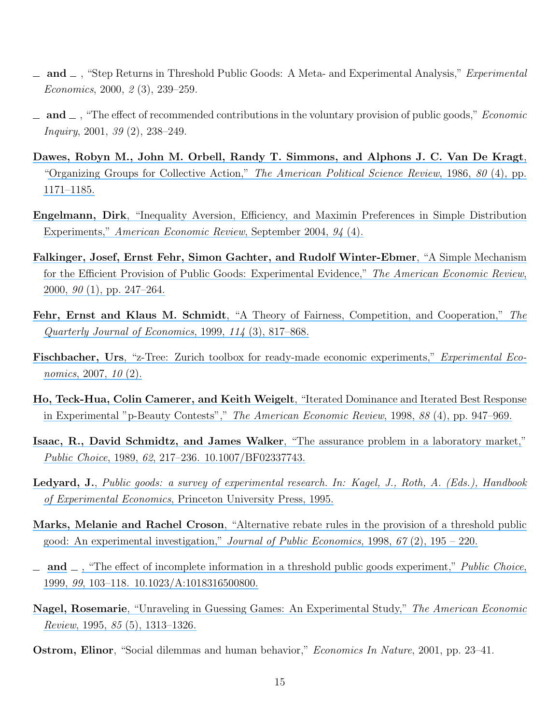- $\Box$  and  $\Box$ , "Step Returns in Threshold Public Goods: A Meta- and Experimental Analysis," *Experimental* Economics, 2000, 2 (3), 239–259.
- $\Box$  and  $\Box$ , "The effect of recommended contributions in the voluntary provision of public goods," *Economic* Inquiry, 2001, 39 (2), 238–249.
- [Dawes, Robyn M., John M. Orbell, Randy T. Simmons, and Alphons J. C. Van De Kragt](https://www.researchgate.net/publication/243767732_Organizing_Groups_for_Collective_Action?el=1_x_8&enrichId=rgreq-93de67dfbdaa64611c56b50ab76f2a44-XXX&enrichSource=Y292ZXJQYWdlOzI3MjAxODc1MTtBUzoxOTg2MTYwMTE1NDY2MjRAMTQyNDM2NTE1NTYyOA==), ["Organizing Groups for Collective Action,"](https://www.researchgate.net/publication/243767732_Organizing_Groups_for_Collective_Action?el=1_x_8&enrichId=rgreq-93de67dfbdaa64611c56b50ab76f2a44-XXX&enrichSource=Y292ZXJQYWdlOzI3MjAxODc1MTtBUzoxOTg2MTYwMTE1NDY2MjRAMTQyNDM2NTE1NTYyOA==) The American Political Science Review, 1986, 80 (4), pp. [1171–1185.](https://www.researchgate.net/publication/243767732_Organizing_Groups_for_Collective_Action?el=1_x_8&enrichId=rgreq-93de67dfbdaa64611c56b50ab76f2a44-XXX&enrichSource=Y292ZXJQYWdlOzI3MjAxODc1MTtBUzoxOTg2MTYwMTE1NDY2MjRAMTQyNDM2NTE1NTYyOA==)
- Engelmann, Dirk[, "Inequality Aversion, Efficiency, and Maximin Preferences in Simple Distribution](https://www.researchgate.net/publication/4901666_Inequality_Aversion_Efficiency_and_Maximin_Preferences_in_Simple_Distribution_Experiments?el=1_x_8&enrichId=rgreq-93de67dfbdaa64611c56b50ab76f2a44-XXX&enrichSource=Y292ZXJQYWdlOzI3MjAxODc1MTtBUzoxOTg2MTYwMTE1NDY2MjRAMTQyNDM2NTE1NTYyOA==) Experiments," [American Economic Review](https://www.researchgate.net/publication/4901666_Inequality_Aversion_Efficiency_and_Maximin_Preferences_in_Simple_Distribution_Experiments?el=1_x_8&enrichId=rgreq-93de67dfbdaa64611c56b50ab76f2a44-XXX&enrichSource=Y292ZXJQYWdlOzI3MjAxODc1MTtBUzoxOTg2MTYwMTE1NDY2MjRAMTQyNDM2NTE1NTYyOA==), September 2004, 94 (4).
- [Falkinger, Josef, Ernst Fehr, Simon Gachter, and Rudolf Winter-Ebmer](https://www.researchgate.net/publication/51993129_A_Simple_Mechanism_for_the_Efficient_Provision_of_Public_Goods_Experimental_Evidence?el=1_x_8&enrichId=rgreq-93de67dfbdaa64611c56b50ab76f2a44-XXX&enrichSource=Y292ZXJQYWdlOzI3MjAxODc1MTtBUzoxOTg2MTYwMTE1NDY2MjRAMTQyNDM2NTE1NTYyOA==), "A Simple Mechanism [for the Efficient Provision of Public Goods: Experimental Evidence,"](https://www.researchgate.net/publication/51993129_A_Simple_Mechanism_for_the_Efficient_Provision_of_Public_Goods_Experimental_Evidence?el=1_x_8&enrichId=rgreq-93de67dfbdaa64611c56b50ab76f2a44-XXX&enrichSource=Y292ZXJQYWdlOzI3MjAxODc1MTtBUzoxOTg2MTYwMTE1NDY2MjRAMTQyNDM2NTE1NTYyOA==) The American Economic Review,  $2000, 90(1),$  pp.  $247-264$ .
- Fehr, Ernst and Klaus M. Schmidt[, "A Theory of Fairness, Competition, and Cooperation,"](https://www.researchgate.net/publication/24091667_A_Theory_Of_Fairness_Competition_And_Cooperation?el=1_x_8&enrichId=rgreq-93de67dfbdaa64611c56b50ab76f2a44-XXX&enrichSource=Y292ZXJQYWdlOzI3MjAxODc1MTtBUzoxOTg2MTYwMTE1NDY2MjRAMTQyNDM2NTE1NTYyOA==) The [Quarterly Journal of Economics](https://www.researchgate.net/publication/24091667_A_Theory_Of_Fairness_Competition_And_Cooperation?el=1_x_8&enrichId=rgreq-93de67dfbdaa64611c56b50ab76f2a44-XXX&enrichSource=Y292ZXJQYWdlOzI3MjAxODc1MTtBUzoxOTg2MTYwMTE1NDY2MjRAMTQyNDM2NTE1NTYyOA==), 1999, 114 (3), 817–868.
- Fischbacher, Urs[, "z-Tree: Zurich toolbox for ready-made economic experiments,"](https://www.researchgate.net/publication/243776530_Z-Tree_Zurich_Tool_Box_for_Ready-Made_Economic_Experiments?el=1_x_8&enrichId=rgreq-93de67dfbdaa64611c56b50ab76f2a44-XXX&enrichSource=Y292ZXJQYWdlOzI3MjAxODc1MTtBUzoxOTg2MTYwMTE1NDY2MjRAMTQyNDM2NTE1NTYyOA==) Experimental Eco[nomics](https://www.researchgate.net/publication/243776530_Z-Tree_Zurich_Tool_Box_for_Ready-Made_Economic_Experiments?el=1_x_8&enrichId=rgreq-93de67dfbdaa64611c56b50ab76f2a44-XXX&enrichSource=Y292ZXJQYWdlOzI3MjAxODc1MTtBUzoxOTg2MTYwMTE1NDY2MjRAMTQyNDM2NTE1NTYyOA==), 2007, 10 (2).
- [Ho, Teck-Hua, Colin Camerer, and Keith Weigelt](https://www.researchgate.net/publication/246565134_Iterated_Dominance_and_Iter-ated_Best-response_in_p-Beauty_Contests?el=1_x_8&enrichId=rgreq-93de67dfbdaa64611c56b50ab76f2a44-XXX&enrichSource=Y292ZXJQYWdlOzI3MjAxODc1MTtBUzoxOTg2MTYwMTE1NDY2MjRAMTQyNDM2NTE1NTYyOA==), "Iterated Dominance and Iterated Best Response [in Experimental "p-Beauty Contests","](https://www.researchgate.net/publication/246565134_Iterated_Dominance_and_Iter-ated_Best-response_in_p-Beauty_Contests?el=1_x_8&enrichId=rgreq-93de67dfbdaa64611c56b50ab76f2a44-XXX&enrichSource=Y292ZXJQYWdlOzI3MjAxODc1MTtBUzoxOTg2MTYwMTE1NDY2MjRAMTQyNDM2NTE1NTYyOA==) The American Economic Review, 1998, 88 (4), pp. 947–969.
- [Isaac, R., David Schmidtz, and James Walker](https://www.researchgate.net/publication/225132322_The_Assurance_Problem_in_a_Laboratory_Market?el=1_x_8&enrichId=rgreq-93de67dfbdaa64611c56b50ab76f2a44-XXX&enrichSource=Y292ZXJQYWdlOzI3MjAxODc1MTtBUzoxOTg2MTYwMTE1NDY2MjRAMTQyNDM2NTE1NTYyOA==), "The assurance problem in a laboratory market," Public Choice, 1989, 62[, 217–236. 10.1007/BF02337743.](https://www.researchgate.net/publication/225132322_The_Assurance_Problem_in_a_Laboratory_Market?el=1_x_8&enrichId=rgreq-93de67dfbdaa64611c56b50ab76f2a44-XXX&enrichSource=Y292ZXJQYWdlOzI3MjAxODc1MTtBUzoxOTg2MTYwMTE1NDY2MjRAMTQyNDM2NTE1NTYyOA==)
- Ledyard, J., [Public goods: a survey of experimental research. In: Kagel, J., Roth, A. \(Eds.\), Handbook](https://www.researchgate.net/publication/23749410_Public_Goods_A_Survey_of_Experimental_Research?el=1_x_8&enrichId=rgreq-93de67dfbdaa64611c56b50ab76f2a44-XXX&enrichSource=Y292ZXJQYWdlOzI3MjAxODc1MTtBUzoxOTg2MTYwMTE1NDY2MjRAMTQyNDM2NTE1NTYyOA==) of Experimental Economics[, Princeton University Press, 1995.](https://www.researchgate.net/publication/23749410_Public_Goods_A_Survey_of_Experimental_Research?el=1_x_8&enrichId=rgreq-93de67dfbdaa64611c56b50ab76f2a44-XXX&enrichSource=Y292ZXJQYWdlOzI3MjAxODc1MTtBUzoxOTg2MTYwMTE1NDY2MjRAMTQyNDM2NTE1NTYyOA==)
- Marks, Melanie and Rachel Croson[, "Alternative rebate rules in the provision of a threshold public](https://www.researchgate.net/publication/222501631_Alternative_Rebate_Rules_in_the_Provision_of_a_Threshold_Public_Good_An_Experimental_Investigation?el=1_x_8&enrichId=rgreq-93de67dfbdaa64611c56b50ab76f2a44-XXX&enrichSource=Y292ZXJQYWdlOzI3MjAxODc1MTtBUzoxOTg2MTYwMTE1NDY2MjRAMTQyNDM2NTE1NTYyOA==) [good: An experimental investigation,"](https://www.researchgate.net/publication/222501631_Alternative_Rebate_Rules_in_the_Provision_of_a_Threshold_Public_Good_An_Experimental_Investigation?el=1_x_8&enrichId=rgreq-93de67dfbdaa64611c56b50ab76f2a44-XXX&enrichSource=Y292ZXJQYWdlOzI3MjAxODc1MTtBUzoxOTg2MTYwMTE1NDY2MjRAMTQyNDM2NTE1NTYyOA==) Journal of Public Economics, 1998,  $67$  (2), 195 – 220.
- $\Box$  [and](https://www.researchgate.net/publication/222501631_Alternative_Rebate_Rules_in_the_Provision_of_a_Threshold_Public_Good_An_Experimental_Investigation?el=1_x_8&enrichId=rgreq-93de67dfbdaa64611c56b50ab76f2a44-XXX&enrichSource=Y292ZXJQYWdlOzI3MjAxODc1MTtBUzoxOTg2MTYwMTE1NDY2MjRAMTQyNDM2NTE1NTYyOA==)  $\Box$ [, "The effect of incomplete information in a threshold public goods experiment,"](https://www.researchgate.net/publication/222501631_Alternative_Rebate_Rules_in_the_Provision_of_a_Threshold_Public_Good_An_Experimental_Investigation?el=1_x_8&enrichId=rgreq-93de67dfbdaa64611c56b50ab76f2a44-XXX&enrichSource=Y292ZXJQYWdlOzI3MjAxODc1MTtBUzoxOTg2MTYwMTE1NDY2MjRAMTQyNDM2NTE1NTYyOA==) Public Choice, 1999, 99[, 103–118. 10.1023/A:1018316500800.](https://www.researchgate.net/publication/222501631_Alternative_Rebate_Rules_in_the_Provision_of_a_Threshold_Public_Good_An_Experimental_Investigation?el=1_x_8&enrichId=rgreq-93de67dfbdaa64611c56b50ab76f2a44-XXX&enrichSource=Y292ZXJQYWdlOzI3MjAxODc1MTtBUzoxOTg2MTYwMTE1NDY2MjRAMTQyNDM2NTE1NTYyOA==)
- Nagel, Rosemarie[, "Unraveling in Guessing Games: An Experimental Study,"](https://www.researchgate.net/publication/4725772_Unraveling_in_Guessing_Games_An_Experimental_Study?el=1_x_8&enrichId=rgreq-93de67dfbdaa64611c56b50ab76f2a44-XXX&enrichSource=Y292ZXJQYWdlOzI3MjAxODc1MTtBUzoxOTg2MTYwMTE1NDY2MjRAMTQyNDM2NTE1NTYyOA==) The American Economic Review, 1995, 85 [\(5\), 1313–1326.](https://www.researchgate.net/publication/4725772_Unraveling_in_Guessing_Games_An_Experimental_Study?el=1_x_8&enrichId=rgreq-93de67dfbdaa64611c56b50ab76f2a44-XXX&enrichSource=Y292ZXJQYWdlOzI3MjAxODc1MTtBUzoxOTg2MTYwMTE1NDY2MjRAMTQyNDM2NTE1NTYyOA==)
- **Ostrom, Elinor**, "Social dilemmas and human behavior," *Economics In Nature*, 2001, pp. 23–41.